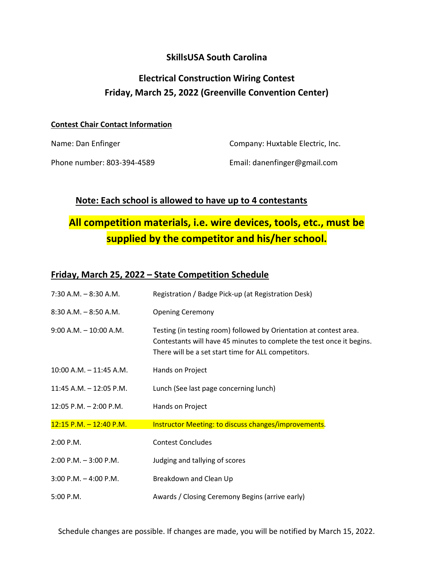### SkillsUSA South Carolina

## Electrical Construction Wiring Contest Friday, March 25, 2022 (Greenville Convention Center)

#### Contest Chair Contact Information

Name: Dan Enfinger Company: Huxtable Electric, Inc.

Phone number: 803-394-4589 Email: danenfinger@gmail.com

#### Note: Each school is allowed to have up to 4 contestants

# All competition materials, i.e. wire devices, tools, etc., must be supplied by the competitor and his/her school.

#### Friday, March 25, 2022 – State Competition Schedule

| $7:30$ A.M. $-8:30$ A.M.   | Registration / Badge Pick-up (at Registration Desk)                                                                                                                                                |
|----------------------------|----------------------------------------------------------------------------------------------------------------------------------------------------------------------------------------------------|
| $8:30$ A.M. $-8:50$ A.M.   | <b>Opening Ceremony</b>                                                                                                                                                                            |
| $9:00$ A.M. $-10:00$ A.M.  | Testing (in testing room) followed by Orientation at contest area.<br>Contestants will have 45 minutes to complete the test once it begins.<br>There will be a set start time for ALL competitors. |
| $10:00$ A.M. $-11:45$ A.M. | Hands on Project                                                                                                                                                                                   |
| 11:45 A.M. - 12:05 P.M.    | Lunch (See last page concerning lunch)                                                                                                                                                             |
| $12:05$ P.M. $- 2:00$ P.M. | Hands on Project                                                                                                                                                                                   |
| $12:15$ P.M. $-12:40$ P.M. | Instructor Meeting: to discuss changes/improvements.                                                                                                                                               |
| 2:00 P.M.                  | <b>Contest Concludes</b>                                                                                                                                                                           |
| $2:00$ P.M. $-3:00$ P.M.   | Judging and tallying of scores                                                                                                                                                                     |
| $3:00$ P.M. $-4:00$ P.M.   | Breakdown and Clean Up                                                                                                                                                                             |
| 5:00 P.M.                  | Awards / Closing Ceremony Begins (arrive early)                                                                                                                                                    |

Schedule changes are possible. If changes are made, you will be notified by March 15, 2022.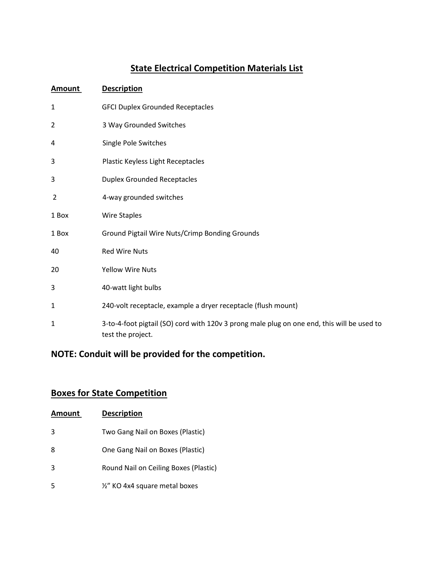# State Electrical Competition Materials List

| <b>Amount</b> | <b>Description</b>                                                                                              |
|---------------|-----------------------------------------------------------------------------------------------------------------|
| 1             | <b>GFCI Duplex Grounded Receptacles</b>                                                                         |
| 2             | 3 Way Grounded Switches                                                                                         |
| 4             | Single Pole Switches                                                                                            |
| 3             | Plastic Keyless Light Receptacles                                                                               |
| 3             | <b>Duplex Grounded Receptacles</b>                                                                              |
| 2             | 4-way grounded switches                                                                                         |
| 1 Box         | Wire Staples                                                                                                    |
| 1 Box         | Ground Pigtail Wire Nuts/Crimp Bonding Grounds                                                                  |
| 40            | <b>Red Wire Nuts</b>                                                                                            |
| 20            | <b>Yellow Wire Nuts</b>                                                                                         |
| 3             | 40-watt light bulbs                                                                                             |
| 1             | 240-volt receptacle, example a dryer receptacle (flush mount)                                                   |
| 1             | 3-to-4-foot pigtail (SO) cord with 120v 3 prong male plug on one end, this will be used to<br>test the project. |

## NOTE: Conduit will be provided for the competition.

## Boxes for State Competition

| Amount | <b>Description</b>                    |
|--------|---------------------------------------|
| 3      | Two Gang Nail on Boxes (Plastic)      |
| 8      | One Gang Nail on Boxes (Plastic)      |
| 3      | Round Nail on Ceiling Boxes (Plastic) |
| 5      | 1/2" KO 4x4 square metal boxes        |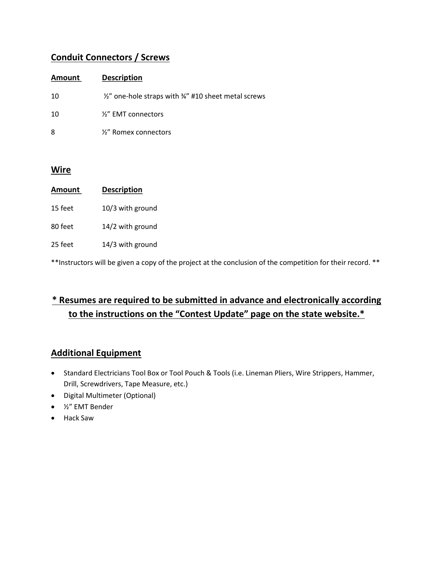### Conduit Connectors / Screws

| Amount | <b>Description</b>                                                      |
|--------|-------------------------------------------------------------------------|
| 10     | $\frac{1}{2}$ one-hole straps with $\frac{3}{4}$ #10 sheet metal screws |
| 10     | $\frac{1}{2}$ EMT connectors                                            |
| 8      | $\frac{1}{2}$ Romex connectors                                          |

#### **Wire**

| Amount  | <b>Description</b> |
|---------|--------------------|
| 15 feet | 10/3 with ground   |
| 80 feet | 14/2 with ground   |
| 25 feet | 14/3 with ground   |

\*\*Instructors will be given a copy of the project at the conclusion of the competition for their record. \*\*

## \* Resumes are required to be submitted in advance and electronically according to the instructions on the "Contest Update" page on the state website.\*

### Additional Equipment

- Standard Electricians Tool Box or Tool Pouch & Tools (i.e. Lineman Pliers, Wire Strippers, Hammer, Drill, Screwdrivers, Tape Measure, etc.)
- Digital Multimeter (Optional)
- ½" EMT Bender
- Hack Saw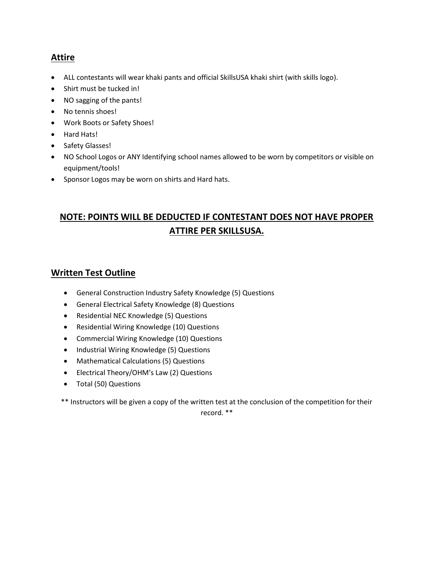### **Attire**

- ALL contestants will wear khaki pants and official SkillsUSA khaki shirt (with skills logo).
- Shirt must be tucked in!
- NO sagging of the pants!
- No tennis shoes!
- Work Boots or Safety Shoes!
- Hard Hats!
- Safety Glasses!
- NO School Logos or ANY Identifying school names allowed to be worn by competitors or visible on equipment/tools!
- Sponsor Logos may be worn on shirts and Hard hats.

## NOTE: POINTS WILL BE DEDUCTED IF CONTESTANT DOES NOT HAVE PROPER ATTIRE PER SKILLSUSA.

#### Written Test Outline

- General Construction Industry Safety Knowledge (5) Questions
- General Electrical Safety Knowledge (8) Questions
- Residential NEC Knowledge (5) Questions
- Residential Wiring Knowledge (10) Questions
- Commercial Wiring Knowledge (10) Questions
- Industrial Wiring Knowledge (5) Questions
- Mathematical Calculations (5) Questions
- Electrical Theory/OHM's Law (2) Questions
- Total (50) Questions

\*\* Instructors will be given a copy of the written test at the conclusion of the competition for their

record. \*\*